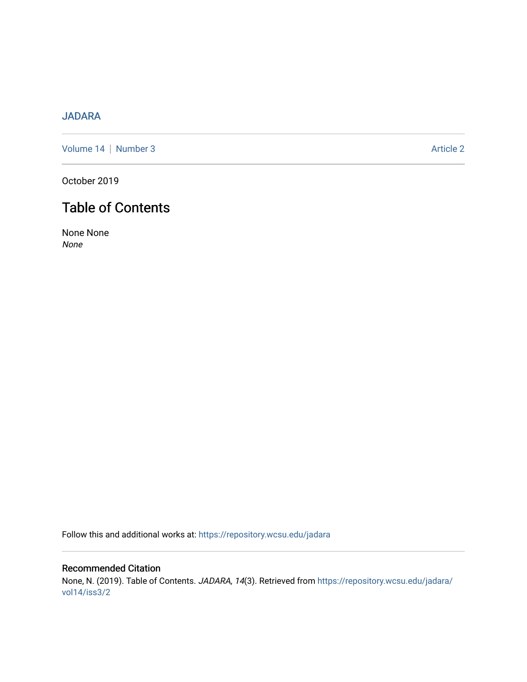## [JADARA](https://repository.wcsu.edu/jadara)

[Volume 14](https://repository.wcsu.edu/jadara/vol14) | [Number 3](https://repository.wcsu.edu/jadara/vol14/iss3) Article 2

October 2019

# Table of Contents

None None None

Follow this and additional works at: [https://repository.wcsu.edu/jadara](https://repository.wcsu.edu/jadara?utm_source=repository.wcsu.edu%2Fjadara%2Fvol14%2Fiss3%2F2&utm_medium=PDF&utm_campaign=PDFCoverPages)

Recommended Citation None, N. (2019). Table of Contents. JADARA, 14(3). Retrieved from [https://repository.wcsu.edu/jadara/](https://repository.wcsu.edu/jadara/vol14/iss3/2?utm_source=repository.wcsu.edu%2Fjadara%2Fvol14%2Fiss3%2F2&utm_medium=PDF&utm_campaign=PDFCoverPages) [vol14/iss3/2](https://repository.wcsu.edu/jadara/vol14/iss3/2?utm_source=repository.wcsu.edu%2Fjadara%2Fvol14%2Fiss3%2F2&utm_medium=PDF&utm_campaign=PDFCoverPages)